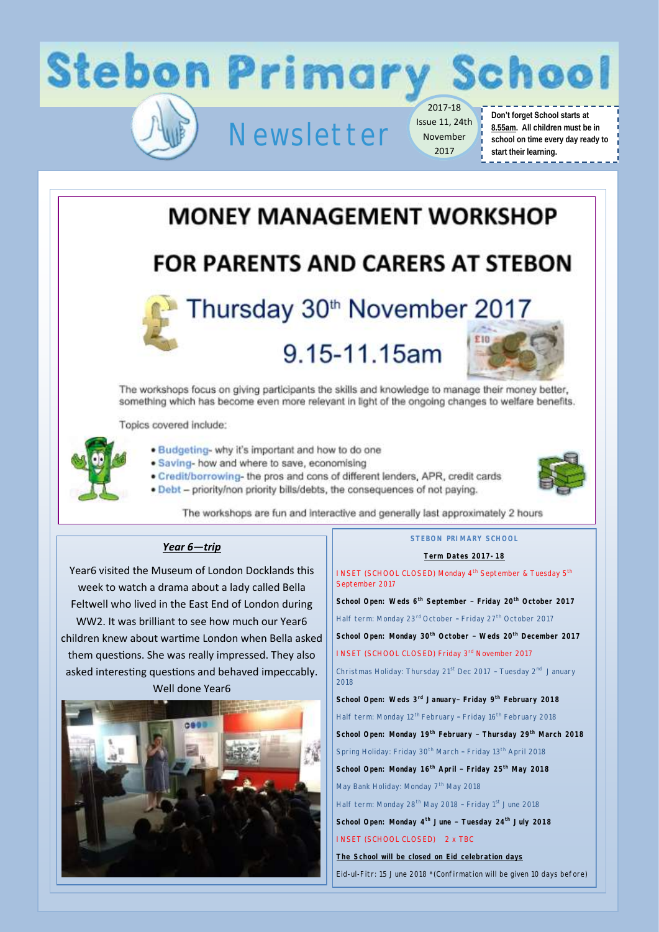

### **MONEY MANAGEMENT WORKSHOP**

### **FOR PARENTS AND CARERS AT STEBON**



# Thursday 30th November 2017

## 9.15-11.15am



The workshops focus on giving participants the skills and knowledge to manage their money better, something which has become even more relevant in light of the ongoing changes to welfare benefits.

Topics covered include:



. Budgeting- why it's important and how to do one

· Saving- how and where to save, economising

. Credit/borrowing- the pros and cons of different lenders, APR, credit cards . Debt - priority/non priority bills/debts, the consequences of not paying.



The workshops are fun and interactive and generally last approximately 2 hours

### *Year 6—trip*

Year6 visited the Museum of London Docklands this week to watch a drama about a lady called Bella Feltwell who lived in the East End of London during WW2. It was brilliant to see how much our Year6 children knew about wartime London when Bella asked them questions. She was really impressed. They also asked interesting questions and behaved impeccably. Well done Year6



### **STEBON PRIMARY SCHOOL**

#### **Term Dates 2017-18**

INSET (SCHOOL CLOSED) Monday 4<sup>th</sup> September & Tuesday 5<sup>th</sup> September 2017

**School Open: Weds 6th September – Friday 20th October 2017** Half term: Monday 23<sup>rd</sup> October - Friday 27<sup>th</sup> October 2017 **School Open: Monday 30th October – Weds 20th December 2017**  INSET (SCHOOL CLOSED) Friday 3rd November 2017

Christmas Holiday: Thursday 21<sup>st</sup> Dec 2017 - Tuesday 2<sup>nd</sup> January 2018

**School Open: Weds 3rd January– Friday 9th February 2018** Half term: Monday 12<sup>th</sup> February - Friday 16<sup>th</sup> February 2018

**School Open: Monday 19th February – Thursday 29th March 2018**

Spring Holiday: Friday 30<sup>th</sup> March - Friday 13<sup>th</sup> April 2018

**School Open: Monday 16th April – Friday 25th May 2018**

May Bank Holiday: Monday 7<sup>th</sup> May 2018

Half term: Monday 28<sup>th</sup> May 2018 - Friday 1<sup>st</sup> June 2018

**School Open: Monday 4th June – Tuesday 24th July 2018**

INSET (SCHOOL CLOSED) 2 x TBC

**The School will be closed on Eid celebration days**

Eid-ul-Fitr: 15 June 2018 \*(Confirmation will be given 10 days before)